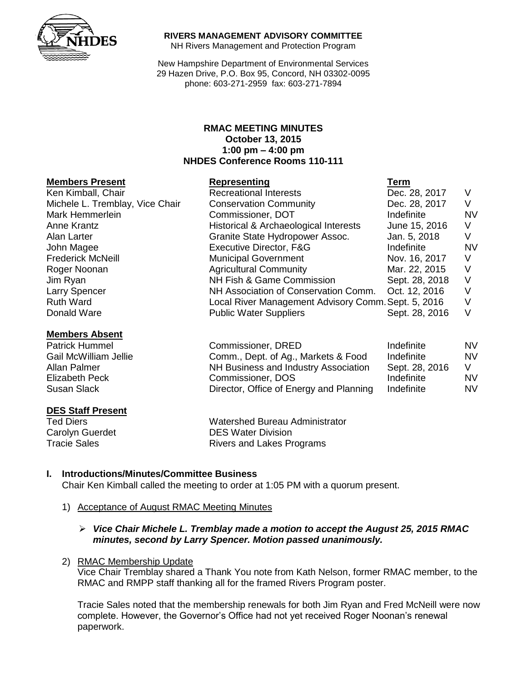

#### **RIVERS MANAGEMENT ADVISORY COMMITTEE**

NH Rivers Management and Protection Program

New Hampshire Department of Environmental Services 29 Hazen Drive, P.O. Box 95, Concord, NH 03302-0095 phone: 603-271-2959 fax: 603-271-7894

#### **RMAC MEETING MINUTES October 13, 2015 1:00 pm – 4:00 pm NHDES Conference Rooms 110-111**

#### **Members Present Representing Term**

| Ken Kimball, Chair              | <b>Recreational Interests</b>                            | Dec. 28, 2017  | $\vee$ |
|---------------------------------|----------------------------------------------------------|----------------|--------|
| Michele L. Tremblay, Vice Chair | <b>Conservation Community</b>                            | Dec. 28, 2017  | V      |
| Mark Hemmerlein                 | Commissioner, DOT                                        | Indefinite     | N      |
| Anne Krantz                     | Historical & Archaeological Interests                    | June 15, 2016  | $\vee$ |
| Alan Larter                     | Granite State Hydropower Assoc.                          | Jan. 5, 2018   | V      |
| John Magee                      | Executive Director, F&G                                  | Indefinite     | N      |
| <b>Frederick McNeill</b>        | <b>Municipal Government</b>                              | Nov. 16, 2017  | V      |
| Roger Noonan                    | <b>Agricultural Community</b>                            | Mar. 22, 2015  | $\vee$ |
| Jim Ryan                        | NH Fish & Game Commission                                | Sept. 28, 2018 | - V    |
| Larry Spencer                   | NH Association of Conservation Comm.                     | Oct. 12, 2016  | V      |
| <b>Ruth Ward</b>                | V<br>Local River Management Advisory Comm. Sept. 5, 2016 |                |        |
| Donald Ware                     | <b>Public Water Suppliers</b>                            | Sept. 28, 2016 | V      |

#### **Members Absent** Patrick Hummel

| MCMOCIJ ADJUN         |                                         |                |     |
|-----------------------|-----------------------------------------|----------------|-----|
| <b>Patrick Hummel</b> | Commissioner, DRED                      | Indefinite     | NV. |
| Gail McWilliam Jellie | Comm., Dept. of Ag., Markets & Food     | Indefinite     | NV. |
| Allan Palmer          | NH Business and Industry Association    | Sept. 28, 2016 | V   |
| Elizabeth Peck        | Commissioner, DOS                       | Indefinite     | NV. |
| Susan Slack           | Director, Office of Energy and Planning | Indefinite     | NV. |
|                       |                                         |                |     |

# **DES Staff Present**<br>Ted Diers

Watershed Bureau Administrator Carolyn Guerdet **DES Water Division** Tracie Sales **Rivers** and Lakes Programs

#### **I. Introductions/Minutes/Committee Business**

Chair Ken Kimball called the meeting to order at 1:05 PM with a quorum present.

1) Acceptance of August RMAC Meeting Minutes

#### *Vice Chair Michele L. Tremblay made a motion to accept the August 25, 2015 RMAC minutes, second by Larry Spencer. Motion passed unanimously.*

#### 2) RMAC Membership Update

Vice Chair Tremblay shared a Thank You note from Kath Nelson, former RMAC member, to the RMAC and RMPP staff thanking all for the framed Rivers Program poster.

Tracie Sales noted that the membership renewals for both Jim Ryan and Fred McNeill were now complete. However, the Governor's Office had not yet received Roger Noonan's renewal paperwork.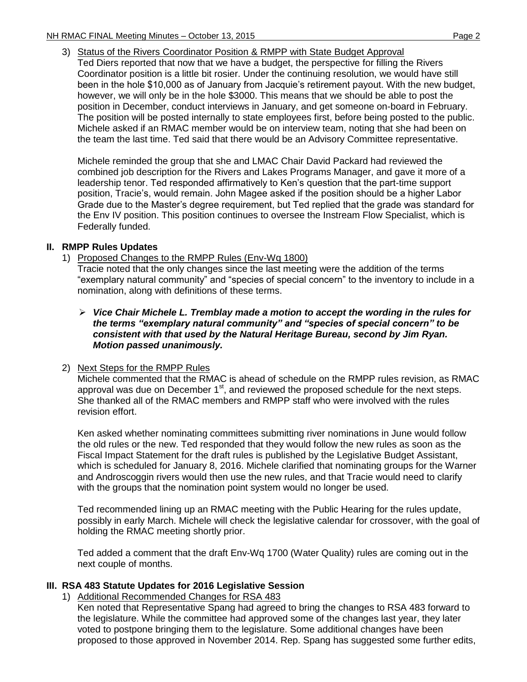3) Status of the Rivers Coordinator Position & RMPP with State Budget Approval

Ted Diers reported that now that we have a budget, the perspective for filling the Rivers Coordinator position is a little bit rosier. Under the continuing resolution, we would have still been in the hole \$10,000 as of January from Jacquie's retirement payout. With the new budget, however, we will only be in the hole \$3000. This means that we should be able to post the position in December, conduct interviews in January, and get someone on-board in February. The position will be posted internally to state employees first, before being posted to the public. Michele asked if an RMAC member would be on interview team, noting that she had been on the team the last time. Ted said that there would be an Advisory Committee representative.

Michele reminded the group that she and LMAC Chair David Packard had reviewed the combined job description for the Rivers and Lakes Programs Manager, and gave it more of a leadership tenor. Ted responded affirmatively to Ken's question that the part-time support position, Tracie's, would remain. John Magee asked if the position should be a higher Labor Grade due to the Master's degree requirement, but Ted replied that the grade was standard for the Env IV position. This position continues to oversee the Instream Flow Specialist, which is Federally funded.

## **II. RMPP Rules Updates**

1) Proposed Changes to the RMPP Rules (Env-Wq 1800)

Tracie noted that the only changes since the last meeting were the addition of the terms "exemplary natural community" and "species of special concern" to the inventory to include in a nomination, along with definitions of these terms.

- *Vice Chair Michele L. Tremblay made a motion to accept the wording in the rules for the terms "exemplary natural community" and "species of special concern" to be consistent with that used by the Natural Heritage Bureau, second by Jim Ryan. Motion passed unanimously.*
- 2) Next Steps for the RMPP Rules

Michele commented that the RMAC is ahead of schedule on the RMPP rules revision, as RMAC approval was due on December  $1<sup>st</sup>$ , and reviewed the proposed schedule for the next steps. She thanked all of the RMAC members and RMPP staff who were involved with the rules revision effort.

Ken asked whether nominating committees submitting river nominations in June would follow the old rules or the new. Ted responded that they would follow the new rules as soon as the Fiscal Impact Statement for the draft rules is published by the Legislative Budget Assistant, which is scheduled for January 8, 2016. Michele clarified that nominating groups for the Warner and Androscoggin rivers would then use the new rules, and that Tracie would need to clarify with the groups that the nomination point system would no longer be used.

Ted recommended lining up an RMAC meeting with the Public Hearing for the rules update, possibly in early March. Michele will check the legislative calendar for crossover, with the goal of holding the RMAC meeting shortly prior.

Ted added a comment that the draft Env-Wq 1700 (Water Quality) rules are coming out in the next couple of months.

## **III. RSA 483 Statute Updates for 2016 Legislative Session**

1) Additional Recommended Changes for RSA 483

Ken noted that Representative Spang had agreed to bring the changes to RSA 483 forward to the legislature. While the committee had approved some of the changes last year, they later voted to postpone bringing them to the legislature. Some additional changes have been proposed to those approved in November 2014. Rep. Spang has suggested some further edits,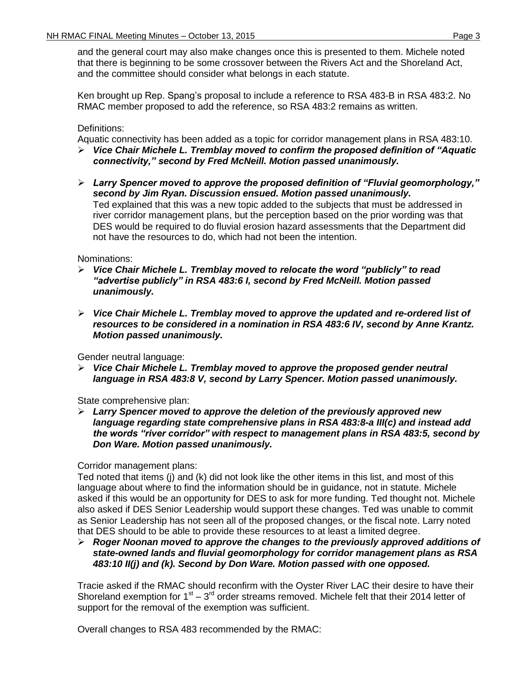and the general court may also make changes once this is presented to them. Michele noted that there is beginning to be some crossover between the Rivers Act and the Shoreland Act, and the committee should consider what belongs in each statute.

Ken brought up Rep. Spang's proposal to include a reference to RSA 483-B in RSA 483:2. No RMAC member proposed to add the reference, so RSA 483:2 remains as written.

## Definitions:

Aquatic connectivity has been added as a topic for corridor management plans in RSA 483:10.

- *Vice Chair Michele L. Tremblay moved to confirm the proposed definition of "Aquatic connectivity," second by Fred McNeill. Motion passed unanimously.*
- *Larry Spencer moved to approve the proposed definition of "Fluvial geomorphology," second by Jim Ryan. Discussion ensued. Motion passed unanimously.* Ted explained that this was a new topic added to the subjects that must be addressed in river corridor management plans, but the perception based on the prior wording was that DES would be required to do fluvial erosion hazard assessments that the Department did not have the resources to do, which had not been the intention.

#### Nominations:

- *Vice Chair Michele L. Tremblay moved to relocate the word "publicly" to read "advertise publicly" in RSA 483:6 I, second by Fred McNeill. Motion passed unanimously.*
- *Vice Chair Michele L. Tremblay moved to approve the updated and re-ordered list of resources to be considered in a nomination in RSA 483:6 IV, second by Anne Krantz. Motion passed unanimously.*

Gender neutral language:

 *Vice Chair Michele L. Tremblay moved to approve the proposed gender neutral language in RSA 483:8 V, second by Larry Spencer. Motion passed unanimously.*

State comprehensive plan:

 *Larry Spencer moved to approve the deletion of the previously approved new language regarding state comprehensive plans in RSA 483:8-a III(c) and instead add the words "river corridor" with respect to management plans in RSA 483:5, second by Don Ware. Motion passed unanimously.*

Corridor management plans:

Ted noted that items (j) and (k) did not look like the other items in this list, and most of this language about where to find the information should be in guidance, not in statute. Michele asked if this would be an opportunity for DES to ask for more funding. Ted thought not. Michele also asked if DES Senior Leadership would support these changes. Ted was unable to commit as Senior Leadership has not seen all of the proposed changes, or the fiscal note. Larry noted that DES should to be able to provide these resources to at least a limited degree.

 *Roger Noonan moved to approve the changes to the previously approved additions of state-owned lands and fluvial geomorphology for corridor management plans as RSA 483:10 II(j) and (k). Second by Don Ware. Motion passed with one opposed.*

Tracie asked if the RMAC should reconfirm with the Oyster River LAC their desire to have their Shoreland exemption for  $1<sup>st</sup> - 3<sup>rd</sup>$  order streams removed. Michele felt that their 2014 letter of support for the removal of the exemption was sufficient.

Overall changes to RSA 483 recommended by the RMAC: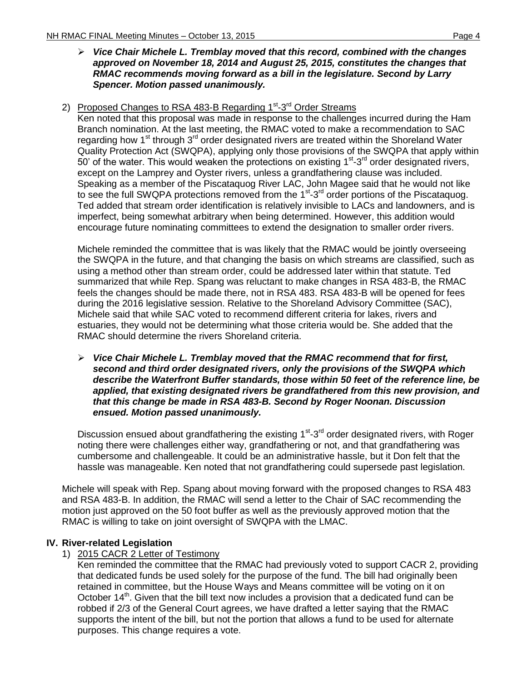#### *Vice Chair Michele L. Tremblay moved that this record, combined with the changes approved on November 18, 2014 and August 25, 2015, constitutes the changes that RMAC recommends moving forward as a bill in the legislature. Second by Larry Spencer. Motion passed unanimously.*

## 2) Proposed Changes to RSA 483-B Regarding 1<sup>st</sup>-3<sup>rd</sup> Order Streams

Ken noted that this proposal was made in response to the challenges incurred during the Ham Branch nomination. At the last meeting, the RMAC voted to make a recommendation to SAC regarding how  $1<sup>st</sup>$  through  $3<sup>rd</sup>$  order designated rivers are treated within the Shoreland Water Quality Protection Act (SWQPA), applying only those provisions of the SWQPA that apply within 50' of the water. This would weaken the protections on existing  $1<sup>st</sup> - 3<sup>rd</sup>$  order designated rivers, except on the Lamprey and Oyster rivers, unless a grandfathering clause was included. Speaking as a member of the Piscataquog River LAC, John Magee said that he would not like to see the full SWQPA protections removed from the 1<sup>st</sup>-3<sup>rd</sup> order portions of the Piscataquog. Ted added that stream order identification is relatively invisible to LACs and landowners, and is imperfect, being somewhat arbitrary when being determined. However, this addition would encourage future nominating committees to extend the designation to smaller order rivers.

Michele reminded the committee that is was likely that the RMAC would be jointly overseeing the SWQPA in the future, and that changing the basis on which streams are classified, such as using a method other than stream order, could be addressed later within that statute. Ted summarized that while Rep. Spang was reluctant to make changes in RSA 483-B, the RMAC feels the changes should be made there, not in RSA 483. RSA 483-B will be opened for fees during the 2016 legislative session. Relative to the Shoreland Advisory Committee (SAC), Michele said that while SAC voted to recommend different criteria for lakes, rivers and estuaries, they would not be determining what those criteria would be. She added that the RMAC should determine the rivers Shoreland criteria.

 *Vice Chair Michele L. Tremblay moved that the RMAC recommend that for first, second and third order designated rivers, only the provisions of the SWQPA which describe the Waterfront Buffer standards, those within 50 feet of the reference line, be applied, that existing designated rivers be grandfathered from this new provision, and that this change be made in RSA 483-B. Second by Roger Noonan. Discussion ensued. Motion passed unanimously.*

Discussion ensued about grandfathering the existing 1<sup>st</sup>-3<sup>rd</sup> order designated rivers, with Roger noting there were challenges either way, grandfathering or not, and that grandfathering was cumbersome and challengeable. It could be an administrative hassle, but it Don felt that the hassle was manageable. Ken noted that not grandfathering could supersede past legislation.

Michele will speak with Rep. Spang about moving forward with the proposed changes to RSA 483 and RSA 483-B. In addition, the RMAC will send a letter to the Chair of SAC recommending the motion just approved on the 50 foot buffer as well as the previously approved motion that the RMAC is willing to take on joint oversight of SWQPA with the LMAC.

## **IV. River-related Legislation**

1) 2015 CACR 2 Letter of Testimony

Ken reminded the committee that the RMAC had previously voted to support CACR 2, providing that dedicated funds be used solely for the purpose of the fund. The bill had originally been retained in committee, but the House Ways and Means committee will be voting on it on October 14<sup>th</sup>. Given that the bill text now includes a provision that a dedicated fund can be robbed if 2/3 of the General Court agrees, we have drafted a letter saying that the RMAC supports the intent of the bill, but not the portion that allows a fund to be used for alternate purposes. This change requires a vote.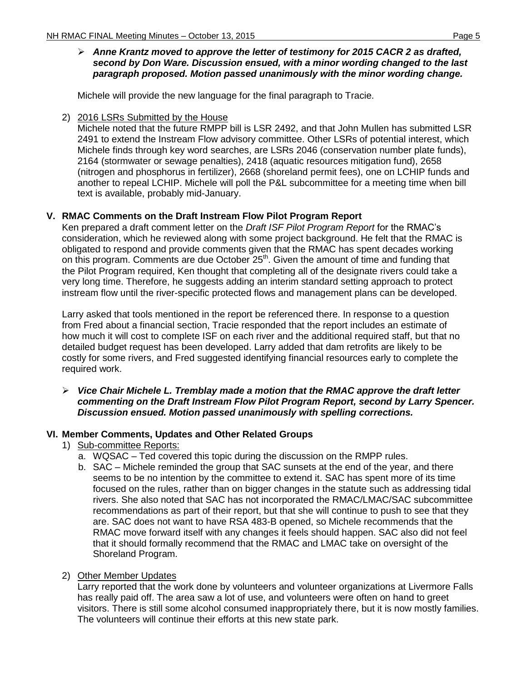## *Anne Krantz moved to approve the letter of testimony for 2015 CACR 2 as drafted, second by Don Ware. Discussion ensued, with a minor wording changed to the last paragraph proposed. Motion passed unanimously with the minor wording change.*

Michele will provide the new language for the final paragraph to Tracie.

2) 2016 LSRs Submitted by the House

Michele noted that the future RMPP bill is LSR 2492, and that John Mullen has submitted LSR 2491 to extend the Instream Flow advisory committee. Other LSRs of potential interest, which Michele finds through key word searches, are LSRs 2046 (conservation number plate funds), 2164 (stormwater or sewage penalties), 2418 (aquatic resources mitigation fund), 2658 (nitrogen and phosphorus in fertilizer), 2668 (shoreland permit fees), one on LCHIP funds and another to repeal LCHIP. Michele will poll the P&L subcommittee for a meeting time when bill text is available, probably mid-January.

## **V. RMAC Comments on the Draft Instream Flow Pilot Program Report**

Ken prepared a draft comment letter on the *Draft ISF Pilot Program Report* for the RMAC's consideration, which he reviewed along with some project background. He felt that the RMAC is obligated to respond and provide comments given that the RMAC has spent decades working on this program. Comments are due October 25<sup>th</sup>. Given the amount of time and funding that the Pilot Program required, Ken thought that completing all of the designate rivers could take a very long time. Therefore, he suggests adding an interim standard setting approach to protect instream flow until the river-specific protected flows and management plans can be developed.

Larry asked that tools mentioned in the report be referenced there. In response to a question from Fred about a financial section, Tracie responded that the report includes an estimate of how much it will cost to complete ISF on each river and the additional required staff, but that no detailed budget request has been developed. Larry added that dam retrofits are likely to be costly for some rivers, and Fred suggested identifying financial resources early to complete the required work.

#### *Vice Chair Michele L. Tremblay made a motion that the RMAC approve the draft letter commenting on the Draft Instream Flow Pilot Program Report, second by Larry Spencer. Discussion ensued. Motion passed unanimously with spelling corrections.*

## **VI. Member Comments, Updates and Other Related Groups**

- 1) Sub-committee Reports:
	- a. WQSAC Ted covered this topic during the discussion on the RMPP rules.
	- b. SAC Michele reminded the group that SAC sunsets at the end of the year, and there seems to be no intention by the committee to extend it. SAC has spent more of its time focused on the rules, rather than on bigger changes in the statute such as addressing tidal rivers. She also noted that SAC has not incorporated the RMAC/LMAC/SAC subcommittee recommendations as part of their report, but that she will continue to push to see that they are. SAC does not want to have RSA 483-B opened, so Michele recommends that the RMAC move forward itself with any changes it feels should happen. SAC also did not feel that it should formally recommend that the RMAC and LMAC take on oversight of the Shoreland Program.
- 2) Other Member Updates

Larry reported that the work done by volunteers and volunteer organizations at Livermore Falls has really paid off. The area saw a lot of use, and volunteers were often on hand to greet visitors. There is still some alcohol consumed inappropriately there, but it is now mostly families. The volunteers will continue their efforts at this new state park.